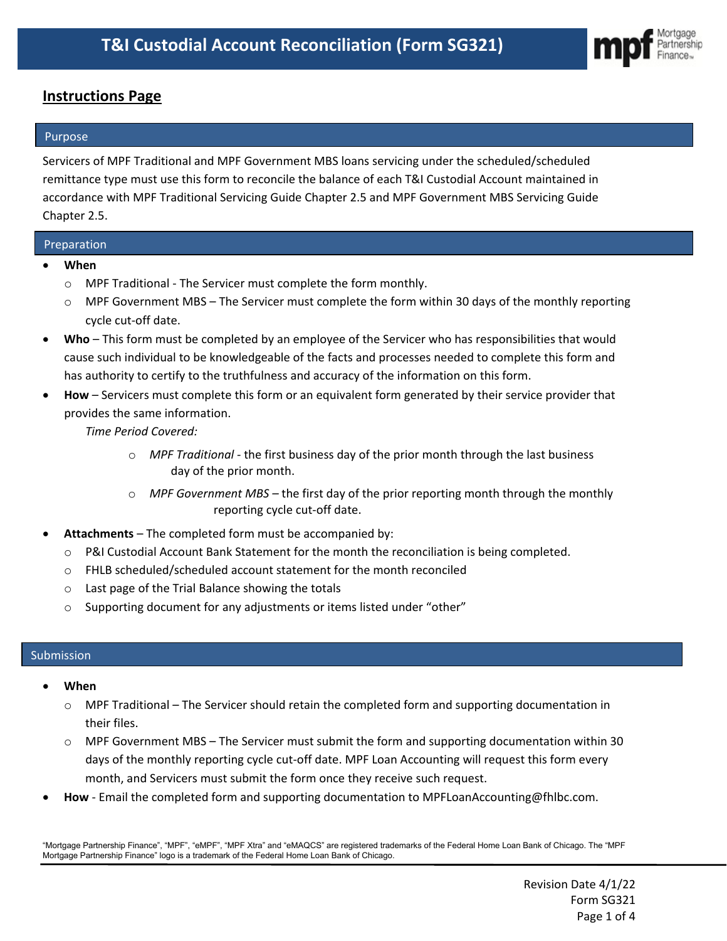

## **Instructions Page**

### **Purpose**

Servicers of MPF Traditional and MPF Government MBS loans servicing under the scheduled/scheduled remittance type must use this form to reconcile the balance of each T&I Custodial Account maintained in accordance with MPF Traditional Servicing Guide Chapter 2.5 and MPF Government MBS Servicing Guide Chapter 2.5.

### Preparation

- **When**
	- o MPF Traditional The Servicer must complete the form monthly.
	- $\circ$  MPF Government MBS The Servicer must complete the form within 30 days of the monthly reporting cycle cut-off date.
- **Who** This form must be completed by an employee of the Servicer who has responsibilities that would cause such individual to be knowledgeable of the facts and processes needed to complete this form and has authority to certify to the truthfulness and accuracy of the information on this form.
- **How** Servicers must complete this form or an equivalent form generated by their service provider that provides the same information.

*Time Period Covered:*

- o *MPF Traditional -* the first business day of the prior month through the last business day of the prior month.
- o *MPF Government MBS –* the first day of the prior reporting month through the monthly reporting cycle cut-off date.
- **Attachments** The completed form must be accompanied by:
	- o P&I Custodial Account Bank Statement for the month the reconciliation is being completed.
	- o FHLB scheduled/scheduled account statement for the month reconciled
	- o Last page of the Trial Balance showing the totals
	- o Supporting document for any adjustments or items listed under "other"

#### Submission

- **When**
	- o MPF Traditional The Servicer should retain the completed form and supporting documentation in their files.
	- o MPF Government MBS The Servicer must submit the form and supporting documentation within 30 days of the monthly reporting cycle cut-off date. MPF Loan Accounting will request this form every month, and Servicers must submit the form once they receive such request.
- **How** Email the completed form and supporting documentation to MPFLoanAccounting@fhlbc.com.

"Mortgage Partnership Finance", "MPF", "eMPF", "MPF Xtra" and "eMAQCS" are registered trademarks of the Federal Home Loan Bank of Chicago. The "MPF Mortgage Partnership Finance" logo is a trademark of the Federal Home Loan Bank of Chicago.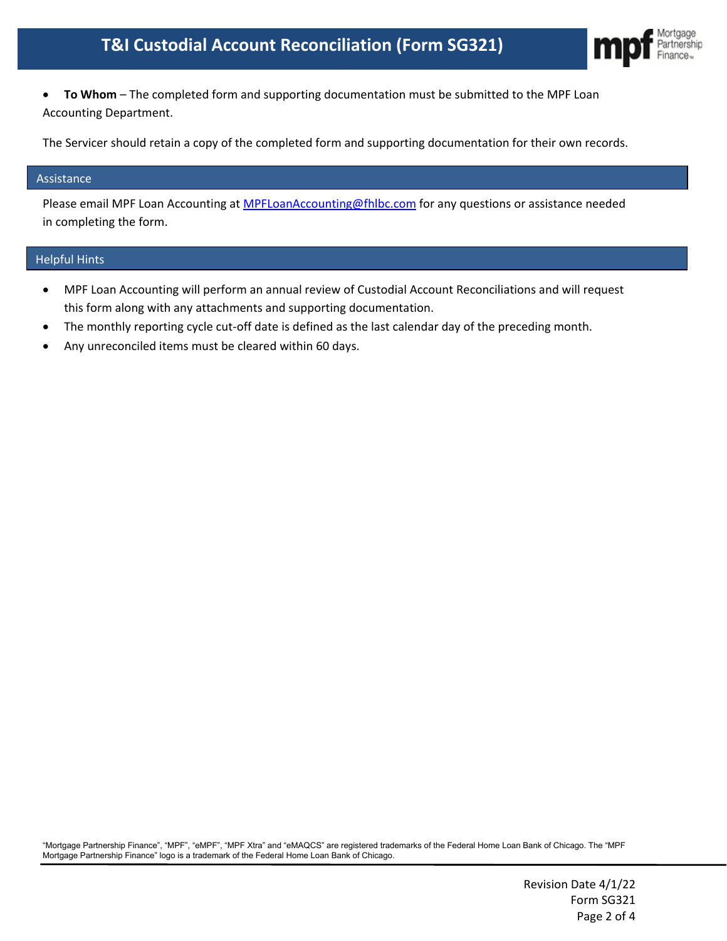# **T&I Custodial Account Reconciliation (Form SG321)**



• **To Whom** – The completed form and supporting documentation must be submitted to the MPF Loan Accounting Department.

The Servicer should retain a copy of the completed form and supporting documentation for their own records.

#### Assistance

Please email MPF Loan Accounting at [MPFLoanAccounting@fhlbc.com](mailto:MPFLoanAccounting@fhlbc.com) for any questions or assistance needed in completing the form.

#### Helpful Hints

- MPF Loan Accounting will perform an annual review of Custodial Account Reconciliations and will request this form along with any attachments and supporting documentation.
- The monthly reporting cycle cut-off date is defined as the last calendar day of the preceding month.
- Any unreconciled items must be cleared within 60 days.

"Mortgage Partnership Finance", "MPF", "eMPF", "MPF Xtra" and "eMAQCS" are registered trademarks of the Federal Home Loan Bank of Chicago. The "MPF Mortgage Partnership Finance" logo is a trademark of the Federal Home Loan Bank of Chicago.

> Revision Date 4/1/22 Form SG321 Page 2 of 4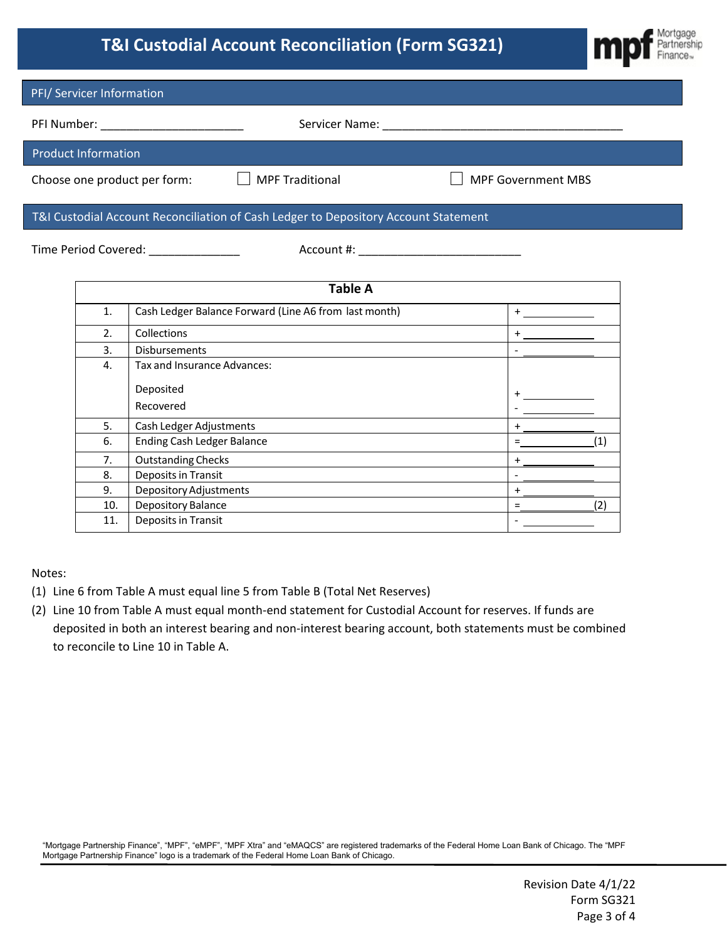# **T&I Custodial Account Reconciliation (Form SG321)**



|                                            | PFI/ Servicer Information                                                                                                                       |                                     |                                                                                     |  |                           |     |
|--------------------------------------------|-------------------------------------------------------------------------------------------------------------------------------------------------|-------------------------------------|-------------------------------------------------------------------------------------|--|---------------------------|-----|
| PFI Number: ______________________________ |                                                                                                                                                 |                                     |                                                                                     |  |                           |     |
|                                            | <b>Product Information</b>                                                                                                                      |                                     |                                                                                     |  |                           |     |
|                                            |                                                                                                                                                 | Choose one product per form: $\Box$ | <b>MPF Traditional</b>                                                              |  | <b>MPF Government MBS</b> |     |
|                                            |                                                                                                                                                 |                                     | T&I Custodial Account Reconciliation of Cash Ledger to Depository Account Statement |  |                           |     |
| Time Period Covered: ______________        |                                                                                                                                                 |                                     |                                                                                     |  |                           |     |
|                                            |                                                                                                                                                 |                                     | <b>Table A</b>                                                                      |  |                           |     |
|                                            | Cash Ledger Balance Forward (Line A6 from last month)<br>1.                                                                                     |                                     |                                                                                     |  |                           |     |
|                                            | Collections<br>2.<br><b>Disbursements</b><br>3.                                                                                                 |                                     |                                                                                     |  | $+$ $  -$                 |     |
|                                            |                                                                                                                                                 |                                     |                                                                                     |  |                           |     |
|                                            | Tax and Insurance Advances:<br>4.                                                                                                               |                                     |                                                                                     |  |                           |     |
|                                            |                                                                                                                                                 | Deposited<br>Recovered              |                                                                                     |  |                           |     |
|                                            | 5.<br>Cash Ledger Adjustments                                                                                                                   |                                     |                                                                                     |  |                           |     |
|                                            | <b>Ending Cash Ledger Balance</b><br>6.<br><b>Outstanding Checks</b><br>7 <sub>1</sub><br><u> 1989 - Johann Stein, fransk politik (d. 1989)</u> |                                     |                                                                                     |  | $=$                       | (1) |
|                                            |                                                                                                                                                 |                                     |                                                                                     |  | $+$                       |     |
|                                            | 8.                                                                                                                                              | Deposits in Transit                 |                                                                                     |  |                           |     |
|                                            | <b>Depository Adjustments</b><br>9.                                                                                                             |                                     |                                                                                     |  | $+$                       |     |
|                                            | 10.                                                                                                                                             | Depository Balance                  |                                                                                     |  | $\equiv$                  | (2) |
|                                            | 11.                                                                                                                                             | <b>Deposits in Transit</b>          |                                                                                     |  |                           |     |

Notes:

- (1) Line 6 from Table A must equal line 5 from Table B (Total Net Reserves)
- (2) Line 10 from Table A must equal month-end statement for Custodial Account for reserves. If funds are deposited in both an interest bearing and non-interest bearing account, both statements must be combined to reconcile to Line 10 in Table A.

"Mortgage Partnership Finance", "MPF", "eMPF", "MPF Xtra" and "eMAQCS" are registered trademarks of the Federal Home Loan Bank of Chicago. The "MPF Mortgage Partnership Finance" logo is a trademark of the Federal Home Loan Bank of Chicago.